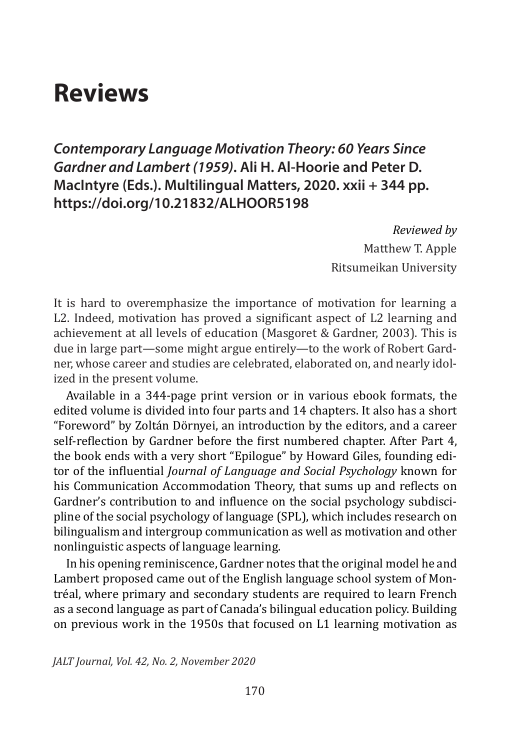# **Reviews**

*Contemporary Language Motivation Theory: 60 Years Since Gardner and Lambert (1959)***. Ali H. Al-Hoorie and Peter D. MacIntyre (Eds.). Multilingual Matters, 2020. xxii + 344 pp. https://doi.org/10.21832/ALHOOR5198**

> *Reviewed by* Matthew T. Apple Ritsumeikan University

It is hard to overemphasize the importance of motivation for learning a L2. Indeed, motivation has proved a significant aspect of L2 learning and achievement at all levels of education (Masgoret & Gardner, 2003). This is due in large part—some might argue entirely—to the work of Robert Gardner, whose career and studies are celebrated, elaborated on, and nearly idolized in the present volume.

Available in a 344-page print version or in various ebook formats, the edited volume is divided into four parts and 14 chapters. It also has a short "Foreword" by Zoltán Dörnyei, an introduction by the editors, and a career self-reflection by Gardner before the first numbered chapter. After Part 4, the book ends with a very short "Epilogue" by Howard Giles, founding editor of the influential *Journal of Language and Social Psychology* known for his Communication Accommodation Theory, that sums up and reflects on Gardner's contribution to and influence on the social psychology subdiscipline of the social psychology of language (SPL), which includes research on bilingualism and intergroup communication as well as motivation and other nonlinguistic aspects of language learning.

In his opening reminiscence, Gardner notes that the original model he and Lambert proposed came out of the English language school system of Montréal, where primary and secondary students are required to learn French as a second language as part of Canada's bilingual education policy. Building on previous work in the 1950s that focused on L1 learning motivation as

*JALT Journal, Vol. 42, No. 2, November 2020*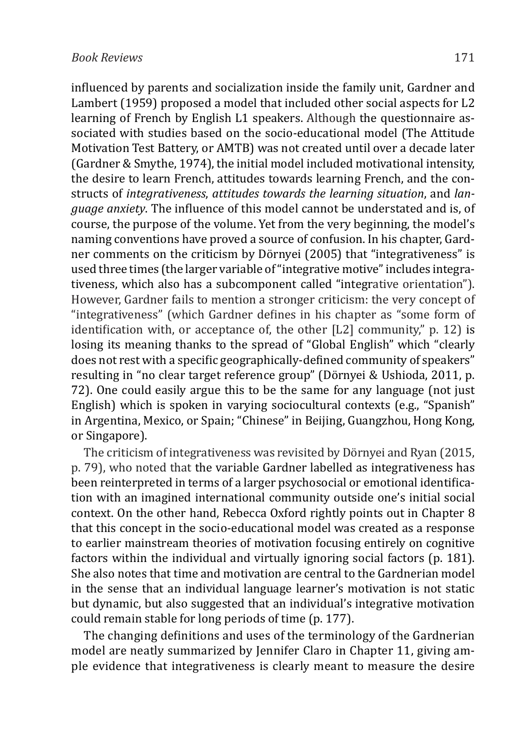influenced by parents and socialization inside the family unit, Gardner and Lambert (1959) proposed a model that included other social aspects for L2 learning of French by English L1 speakers. Although the questionnaire associated with studies based on the socio-educational model (The Attitude Motivation Test Battery, or AMTB) was not created until over a decade later (Gardner & Smythe, 1974), the initial model included motivational intensity, the desire to learn French, attitudes towards learning French, and the constructs of *integrativeness*, *attitudes towards the learning situation*, and *language anxiety*. The influence of this model cannot be understated and is, of course, the purpose of the volume. Yet from the very beginning, the model's naming conventions have proved a source of confusion. In his chapter, Gardner comments on the criticism by Dörnyei (2005) that "integrativeness" is used three times (the larger variable of"integrative motive"includes integrativeness, which also has a subcomponent called "integrative orientation"). However, Gardner fails to mention a stronger criticism: the very concept of "integrativeness" (which Gardner defines in his chapter as "some form of identification with, or acceptance of, the other [L2] community," p. 12) is losing its meaning thanks to the spread of "Global English" which "clearly does not rest with a specific geographically-defined community of speakers" resulting in "no clear target reference group" (Dörnyei & Ushioda, 2011, p. 72). One could easily argue this to be the same for any language (not just English) which is spoken in varying sociocultural contexts (e.g., "Spanish" in Argentina, Mexico, or Spain; "Chinese" in Beijing, Guangzhou, Hong Kong, or Singapore).

The criticism of integrativeness was revisited by Dörnyei and Ryan (2015, p. 79), who noted that the variable Gardner labelled as integrativeness has been reinterpreted in terms of a larger psychosocial or emotional identification with an imagined international community outside one's initial social context. On the other hand, Rebecca Oxford rightly points out in Chapter 8 that this concept in the socio-educational model was created as a response to earlier mainstream theories of motivation focusing entirely on cognitive factors within the individual and virtually ignoring social factors (p. 181). She also notes that time and motivation are central to the Gardnerian model in the sense that an individual language learner's motivation is not static but dynamic, but also suggested that an individual's integrative motivation could remain stable for long periods of time (p. 177).

The changing definitions and uses of the terminology of the Gardnerian model are neatly summarized by Jennifer Claro in Chapter 11, giving ample evidence that integrativeness is clearly meant to measure the desire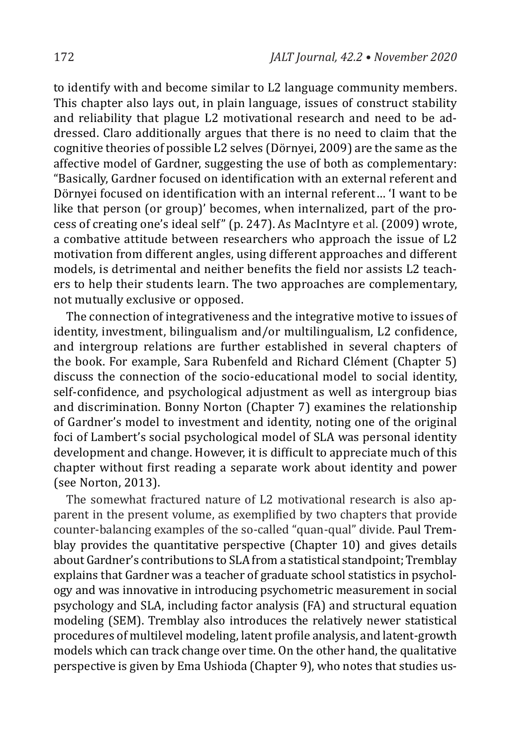to identify with and become similar to L2 language community members. This chapter also lays out, in plain language, issues of construct stability and reliability that plague L2 motivational research and need to be addressed. Claro additionally argues that there is no need to claim that the cognitive theories of possible L2 selves (Dörnyei, 2009) are the same as the affective model of Gardner, suggesting the use of both as complementary: "Basically, Gardner focused on identification with an external referent and Dörnyei focused on identification with an internal referent… 'I want to be like that person (or group)' becomes, when internalized, part of the process of creating one's ideal self" (p. 247). As MacIntyre et al. (2009) wrote, a combative attitude between researchers who approach the issue of L2 motivation from different angles, using different approaches and different models, is detrimental and neither benefits the field nor assists L2 teachers to help their students learn. The two approaches are complementary, not mutually exclusive or opposed.

The connection of integrativeness and the integrative motive to issues of identity, investment, bilingualism and/or multilingualism, L2 confidence, and intergroup relations are further established in several chapters of the book. For example, Sara Rubenfeld and Richard Clément (Chapter 5) discuss the connection of the socio-educational model to social identity, self-confidence, and psychological adjustment as well as intergroup bias and discrimination. Bonny Norton (Chapter 7) examines the relationship of Gardner's model to investment and identity, noting one of the original foci of Lambert's social psychological model of SLA was personal identity development and change. However, it is difficult to appreciate much of this chapter without first reading a separate work about identity and power (see Norton, 2013).

The somewhat fractured nature of L2 motivational research is also apparent in the present volume, as exemplified by two chapters that provide counter-balancing examples of the so-called "quan-qual" divide. Paul Tremblay provides the quantitative perspective (Chapter 10) and gives details about Gardner's contributions to SLA from a statistical standpoint; Tremblay explains that Gardner was a teacher of graduate school statistics in psychology and was innovative in introducing psychometric measurement in social psychology and SLA, including factor analysis (FA) and structural equation modeling (SEM). Tremblay also introduces the relatively newer statistical procedures of multilevel modeling, latent profile analysis, and latent-growth models which can track change over time. On the other hand, the qualitative perspective is given by Ema Ushioda (Chapter 9), who notes that studies us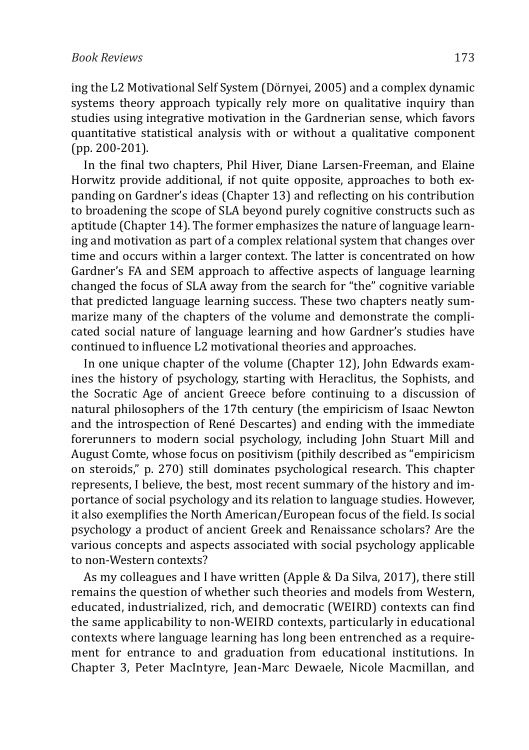ing the L2 Motivational Self System (Dörnyei, 2005) and a complex dynamic systems theory approach typically rely more on qualitative inquiry than studies using integrative motivation in the Gardnerian sense, which favors quantitative statistical analysis with or without a qualitative component (pp. 200-201).

In the final two chapters, Phil Hiver, Diane Larsen-Freeman, and Elaine Horwitz provide additional, if not quite opposite, approaches to both expanding on Gardner's ideas (Chapter 13) and reflecting on his contribution to broadening the scope of SLA beyond purely cognitive constructs such as aptitude (Chapter 14). The former emphasizes the nature of language learning and motivation as part of a complex relational system that changes over time and occurs within a larger context. The latter is concentrated on how Gardner's FA and SEM approach to affective aspects of language learning changed the focus of SLA away from the search for "the" cognitive variable that predicted language learning success. These two chapters neatly summarize many of the chapters of the volume and demonstrate the complicated social nature of language learning and how Gardner's studies have continued to influence L2 motivational theories and approaches.

In one unique chapter of the volume (Chapter 12), John Edwards examines the history of psychology, starting with Heraclitus, the Sophists, and the Socratic Age of ancient Greece before continuing to a discussion of natural philosophers of the 17th century (the empiricism of Isaac Newton and the introspection of René Descartes) and ending with the immediate forerunners to modern social psychology, including John Stuart Mill and August Comte, whose focus on positivism (pithily described as "empiricism on steroids," p. 270) still dominates psychological research. This chapter represents, I believe, the best, most recent summary of the history and importance of social psychology and its relation to language studies. However, it also exemplifies the North American/European focus of the field. Is social psychology a product of ancient Greek and Renaissance scholars? Are the various concepts and aspects associated with social psychology applicable to non-Western contexts?

As my colleagues and I have written (Apple & Da Silva, 2017), there still remains the question of whether such theories and models from Western, educated, industrialized, rich, and democratic (WEIRD) contexts can find the same applicability to non-WEIRD contexts, particularly in educational contexts where language learning has long been entrenched as a requirement for entrance to and graduation from educational institutions. In Chapter 3, Peter MacIntyre, Jean-Marc Dewaele, Nicole Macmillan, and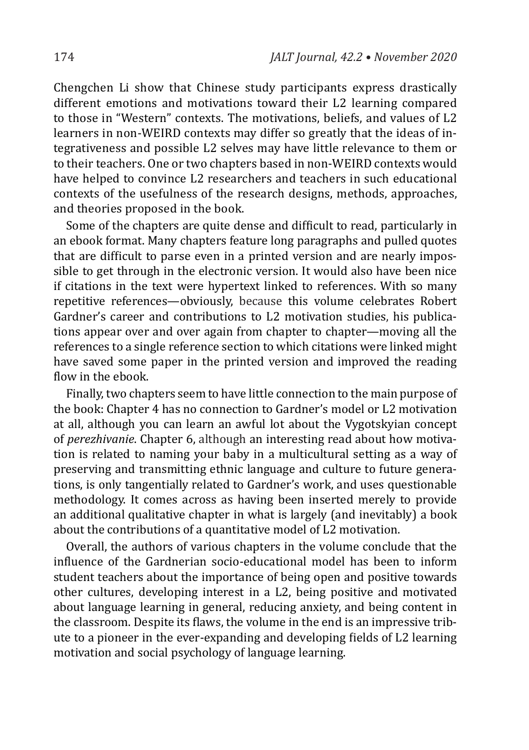Chengchen Li show that Chinese study participants express drastically different emotions and motivations toward their L2 learning compared to those in "Western" contexts. The motivations, beliefs, and values of L2 learners in non-WEIRD contexts may differ so greatly that the ideas of integrativeness and possible L2 selves may have little relevance to them or to their teachers. One or two chapters based in non-WEIRD contexts would have helped to convince L2 researchers and teachers in such educational contexts of the usefulness of the research designs, methods, approaches, and theories proposed in the book.

Some of the chapters are quite dense and difficult to read, particularly in an ebook format. Many chapters feature long paragraphs and pulled quotes that are difficult to parse even in a printed version and are nearly impossible to get through in the electronic version. It would also have been nice if citations in the text were hypertext linked to references. With so many repetitive references—obviously, because this volume celebrates Robert Gardner's career and contributions to L2 motivation studies, his publications appear over and over again from chapter to chapter—moving all the references to a single reference section to which citations were linked might have saved some paper in the printed version and improved the reading flow in the ebook.

Finally, two chapters seem to have little connection to the main purpose of the book: Chapter 4 has no connection to Gardner's model or L2 motivation at all, although you can learn an awful lot about the Vygotskyian concept of *perezhivanie*. Chapter 6, although an interesting read about how motivation is related to naming your baby in a multicultural setting as a way of preserving and transmitting ethnic language and culture to future generations, is only tangentially related to Gardner's work, and uses questionable methodology. It comes across as having been inserted merely to provide an additional qualitative chapter in what is largely (and inevitably) a book about the contributions of a quantitative model of L2 motivation.

Overall, the authors of various chapters in the volume conclude that the influence of the Gardnerian socio-educational model has been to inform student teachers about the importance of being open and positive towards other cultures, developing interest in a L2, being positive and motivated about language learning in general, reducing anxiety, and being content in the classroom. Despite its flaws, the volume in the end is an impressive tribute to a pioneer in the ever-expanding and developing fields of L2 learning motivation and social psychology of language learning.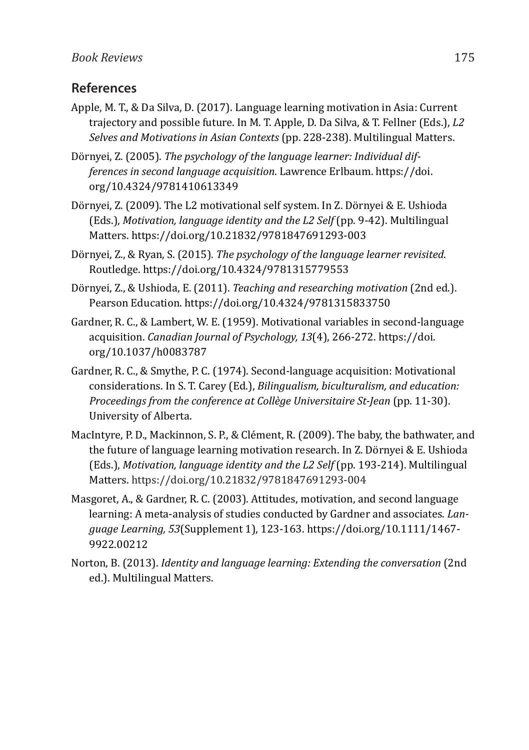#### **References**

- Apple, M. T., & Da Silva, D. (2017). Language learning motivation in Asia: Current trajectory and possible future. In M. T. Apple, D. Da Silva, & T. Fellner (Eds.), *L2 Selves and Motivations in Asian Contexts* (pp. 228-238). Multilingual Matters.
- Dörnyei, Z. (2005). *The psychology of the language learner: Individual differences in second language acquisition*. Lawrence Erlbaum. https://doi. org/10.4324/9781410613349
- Dörnyei, Z. (2009). The L2 motivational self system. In Z. Dörnyei & E. Ushioda (Eds.), *Motivation, language identity and the L2 Self* (pp. 9-42). Multilingual Matters. https://doi.org/10.21832/9781847691293-003
- Dörnyei, Z., & Ryan, S. (2015). *The psychology of the language learner revisited*. Routledge. https://doi.org/10.4324/9781315779553
- Dörnyei, Z., & Ushioda, E. (2011). *Teaching and researching motivation* (2nd ed.). Pearson Education. https://doi.org/10.4324/9781315833750
- Gardner, R. C., & Lambert, W. E. (1959). Motivational variables in second-language acquisition. *Canadian Journal of Psychology, 13*(4), 266-272. https://doi. org/10.1037/h0083787
- Gardner, R. C., & Smythe, P. C. (1974). Second-language acquisition: Motivational considerations. In S. T. Carey (Ed.), *Bilingualism, biculturalism, and education: Proceedings from the conference at Collège Universitaire St-Jean* (pp. 11-30). University of Alberta.
- MacIntyre, P. D., Mackinnon, S. P., & Clément, R. (2009). The baby, the bathwater, and the future of language learning motivation research. In Z. Dörnyei & E. Ushioda (Eds.), *Motivation, language identity and the L2 Self* (pp. 193-214). Multilingual Matters. https://doi.org/10.21832/9781847691293-004
- Masgoret, A., & Gardner, R. C. (2003). Attitudes, motivation, and second language learning: A meta-analysis of studies conducted by Gardner and associates. *Language Learning, 53*(Supplement 1), 123-163. https://doi.org/10.1111/1467- 9922.00212
- Norton, B. (2013). *Identity and language learning: Extending the conversation* (2nd ed.). Multilingual Matters.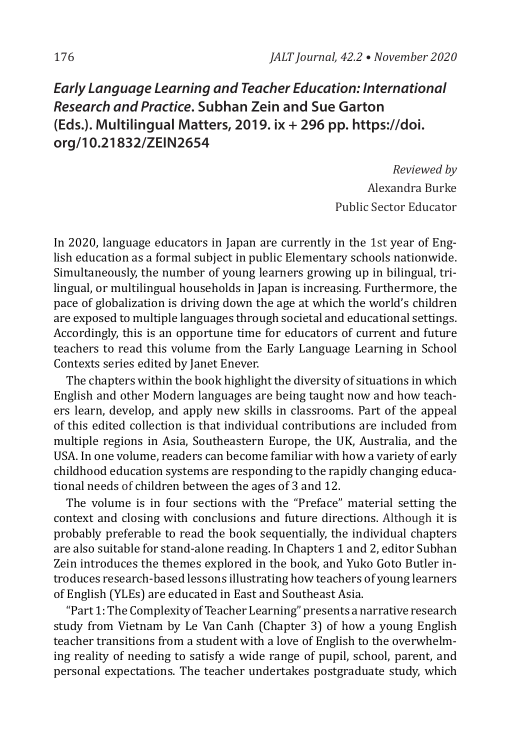# *Early Language Learning and Teacher Education: International Research and Practice***. Subhan Zein and Sue Garton (Eds.). Multilingual Matters, 2019. ix + 296 pp. https://doi. org/10.21832/ZEIN2654**

*Reviewed by* Alexandra Burke Public Sector Educator

In 2020, language educators in Japan are currently in the 1st year of English education as a formal subject in public Elementary schools nationwide. Simultaneously, the number of young learners growing up in bilingual, trilingual, or multilingual households in Japan is increasing. Furthermore, the pace of globalization is driving down the age at which the world's children are exposed to multiple languages through societal and educational settings. Accordingly, this is an opportune time for educators of current and future teachers to read this volume from the Early Language Learning in School Contexts series edited by Janet Enever.

The chapters within the book highlight the diversity of situations in which English and other Modern languages are being taught now and how teachers learn, develop, and apply new skills in classrooms. Part of the appeal of this edited collection is that individual contributions are included from multiple regions in Asia, Southeastern Europe, the UK, Australia, and the USA. In one volume, readers can become familiar with how a variety of early childhood education systems are responding to the rapidly changing educational needs of children between the ages of 3 and 12.

The volume is in four sections with the "Preface" material setting the context and closing with conclusions and future directions. Although it is probably preferable to read the book sequentially, the individual chapters are also suitable for stand-alone reading. In Chapters 1 and 2, editor Subhan Zein introduces the themes explored in the book, and Yuko Goto Butler introduces research-based lessons illustrating how teachers of young learners of English (YLEs) are educated in East and Southeast Asia.

"Part 1: The Complexity of Teacher Learning" presents a narrative research study from Vietnam by Le Van Canh (Chapter 3) of how a young English teacher transitions from a student with a love of English to the overwhelming reality of needing to satisfy a wide range of pupil, school, parent, and personal expectations. The teacher undertakes postgraduate study, which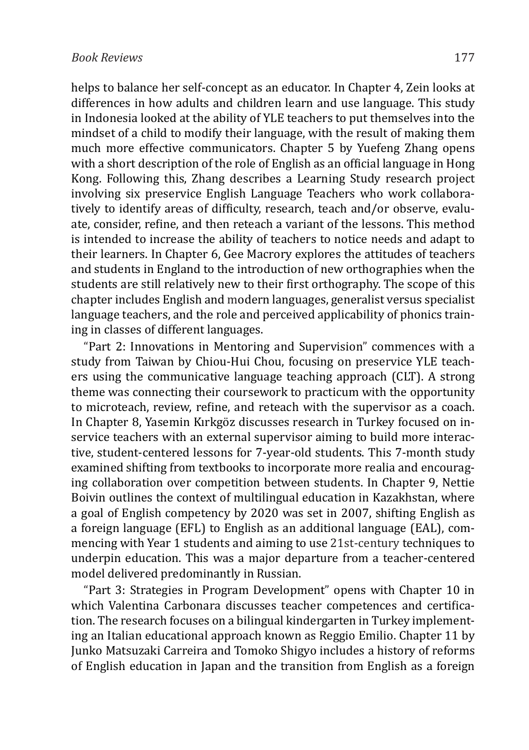helps to balance her self-concept as an educator. In Chapter 4, Zein looks at differences in how adults and children learn and use language. This study in Indonesia looked at the ability of YLE teachers to put themselves into the mindset of a child to modify their language, with the result of making them much more effective communicators. Chapter 5 by Yuefeng Zhang opens with a short description of the role of English as an official language in Hong Kong. Following this, Zhang describes a Learning Study research project involving six preservice English Language Teachers who work collaboratively to identify areas of difficulty, research, teach and/or observe, evaluate, consider, refine, and then reteach a variant of the lessons. This method is intended to increase the ability of teachers to notice needs and adapt to their learners. In Chapter 6, Gee Macrory explores the attitudes of teachers and students in England to the introduction of new orthographies when the students are still relatively new to their first orthography. The scope of this chapter includes English and modern languages, generalist versus specialist language teachers, and the role and perceived applicability of phonics training in classes of different languages.

"Part 2: Innovations in Mentoring and Supervision" commences with a study from Taiwan by Chiou-Hui Chou, focusing on preservice YLE teachers using the communicative language teaching approach (CLT). A strong theme was connecting their coursework to practicum with the opportunity to microteach, review, refine, and reteach with the supervisor as a coach. In Chapter 8, Yasemin Kırkgöz discusses research in Turkey focused on inservice teachers with an external supervisor aiming to build more interactive, student-centered lessons for 7-year-old students. This 7-month study examined shifting from textbooks to incorporate more realia and encouraging collaboration over competition between students. In Chapter 9, Nettie Boivin outlines the context of multilingual education in Kazakhstan, where a goal of English competency by 2020 was set in 2007, shifting English as a foreign language (EFL) to English as an additional language (EAL), commencing with Year 1 students and aiming to use 21st-century techniques to underpin education. This was a major departure from a teacher-centered model delivered predominantly in Russian.

"Part 3: Strategies in Program Development" opens with Chapter 10 in which Valentina Carbonara discusses teacher competences and certification. The research focuses on a bilingual kindergarten in Turkey implementing an Italian educational approach known as Reggio Emilio. Chapter 11 by Junko Matsuzaki Carreira and Tomoko Shigyo includes a history of reforms of English education in Japan and the transition from English as a foreign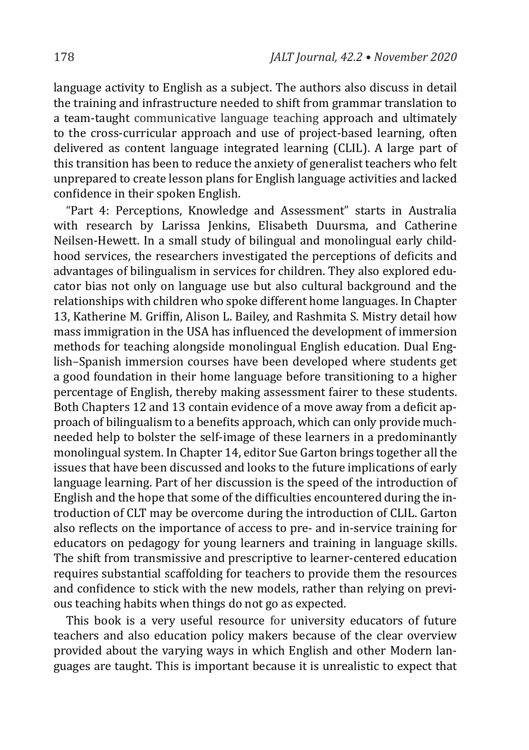language activity to English as a subject. The authors also discuss in detail the training and infrastructure needed to shift from grammar translation to a team-taught communicative language teaching approach and ultimately to the cross-curricular approach and use of project-based learning, often delivered as content language integrated learning (CLIL). A large part of this transition has been to reduce the anxiety of generalist teachers who felt unprepared to create lesson plans for English language activities and lacked confidence in their spoken English.

"Part 4: Perceptions, Knowledge and Assessment" starts in Australia with research by Larissa Jenkins, Elisabeth Duursma, and Catherine Neilsen-Hewett. In a small study of bilingual and monolingual early childhood services, the researchers investigated the perceptions of deficits and advantages of bilingualism in services for children. They also explored educator bias not only on language use but also cultural background and the relationships with children who spoke different home languages. In Chapter 13, Katherine M. Griffin, Alison L. Bailey, and Rashmita S. Mistry detail how mass immigration in the USA has influenced the development of immersion methods for teaching alongside monolingual English education. Dual English–Spanish immersion courses have been developed where students get a good foundation in their home language before transitioning to a higher percentage of English, thereby making assessment fairer to these students. Both Chapters 12 and 13 contain evidence of a move away from a deficit approach of bilingualism to a benefits approach, which can only provide muchneeded help to bolster the self-image of these learners in a predominantly monolingual system. In Chapter 14, editor Sue Garton brings together all the issues that have been discussed and looks to the future implications of early language learning. Part of her discussion is the speed of the introduction of English and the hope that some of the difficulties encountered during the introduction of CLT may be overcome during the introduction of CLIL. Garton also reflects on the importance of access to pre- and in-service training for educators on pedagogy for young learners and training in language skills. The shift from transmissive and prescriptive to learner-centered education requires substantial scaffolding for teachers to provide them the resources and confidence to stick with the new models, rather than relying on previous teaching habits when things do not go as expected.

This book is a very useful resource for university educators of future teachers and also education policy makers because of the clear overview provided about the varying ways in which English and other Modern languages are taught. This is important because it is unrealistic to expect that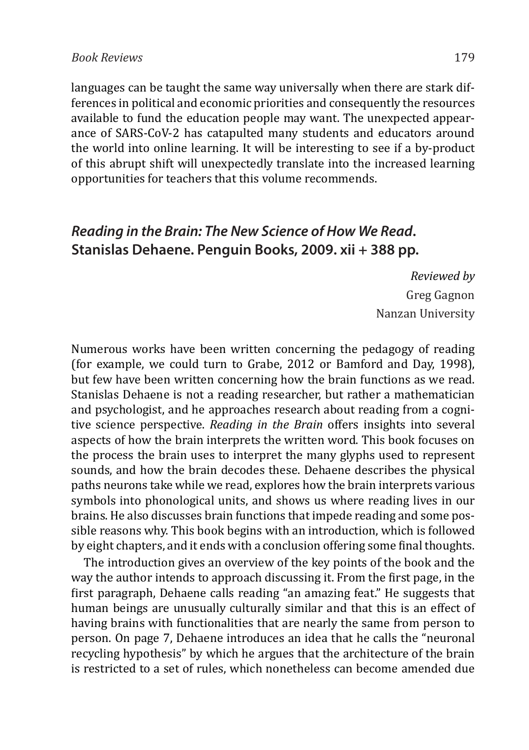#### *Book Reviews* 179

languages can be taught the same way universally when there are stark differences in political and economic priorities and consequently the resources available to fund the education people may want. The unexpected appearance of SARS-CoV-2 has catapulted many students and educators around the world into online learning. It will be interesting to see if a by-product of this abrupt shift will unexpectedly translate into the increased learning opportunities for teachers that this volume recommends.

## *Reading in the Brain: The New Science of How We Read***. Stanislas Dehaene. Penguin Books, 2009. xii + 388 pp.**

*Reviewed by* Greg Gagnon Nanzan University

Numerous works have been written concerning the pedagogy of reading (for example, we could turn to Grabe, 2012 or Bamford and Day, 1998), but few have been written concerning how the brain functions as we read. Stanislas Dehaene is not a reading researcher, but rather a mathematician and psychologist, and he approaches research about reading from a cognitive science perspective. *Reading in the Brain* offers insights into several aspects of how the brain interprets the written word. This book focuses on the process the brain uses to interpret the many glyphs used to represent sounds, and how the brain decodes these. Dehaene describes the physical paths neurons take while we read, explores how the brain interprets various symbols into phonological units, and shows us where reading lives in our brains. He also discusses brain functions that impede reading and some possible reasons why. This book begins with an introduction, which is followed by eight chapters, and it ends with a conclusion offering some final thoughts.

The introduction gives an overview of the key points of the book and the way the author intends to approach discussing it. From the first page, in the first paragraph, Dehaene calls reading "an amazing feat." He suggests that human beings are unusually culturally similar and that this is an effect of having brains with functionalities that are nearly the same from person to person. On page 7, Dehaene introduces an idea that he calls the "neuronal recycling hypothesis" by which he argues that the architecture of the brain is restricted to a set of rules, which nonetheless can become amended due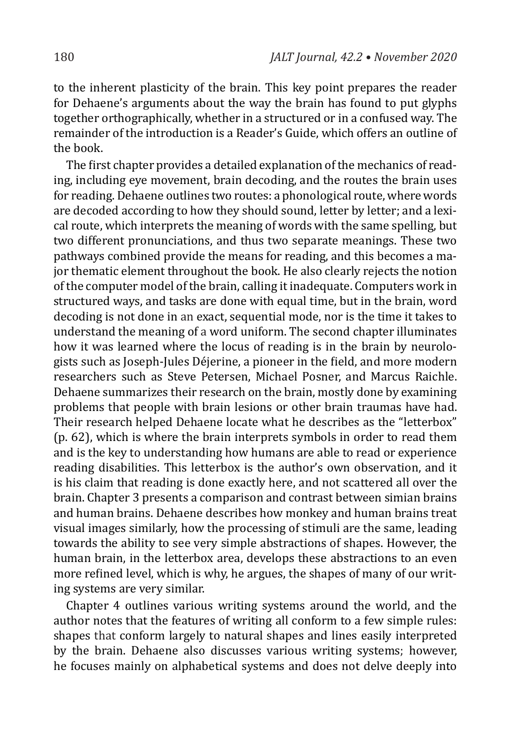to the inherent plasticity of the brain. This key point prepares the reader for Dehaene's arguments about the way the brain has found to put glyphs together orthographically, whether in a structured or in a confused way. The remainder of the introduction is a Reader's Guide, which offers an outline of the book.

The first chapter provides a detailed explanation of the mechanics of reading, including eye movement, brain decoding, and the routes the brain uses for reading. Dehaene outlines two routes: a phonological route, where words are decoded according to how they should sound, letter by letter; and a lexical route, which interprets the meaning of words with the same spelling, but two different pronunciations, and thus two separate meanings. These two pathways combined provide the means for reading, and this becomes a major thematic element throughout the book. He also clearly rejects the notion of the computer model of the brain, calling it inadequate. Computers work in structured ways, and tasks are done with equal time, but in the brain, word decoding is not done in an exact, sequential mode, nor is the time it takes to understand the meaning of a word uniform. The second chapter illuminates how it was learned where the locus of reading is in the brain by neurologists such as Joseph-Jules Déjerine, a pioneer in the field, and more modern researchers such as Steve Petersen, Michael Posner, and Marcus Raichle. Dehaene summarizes their research on the brain, mostly done by examining problems that people with brain lesions or other brain traumas have had. Their research helped Dehaene locate what he describes as the "letterbox" (p. 62), which is where the brain interprets symbols in order to read them and is the key to understanding how humans are able to read or experience reading disabilities. This letterbox is the author's own observation, and it is his claim that reading is done exactly here, and not scattered all over the brain. Chapter 3 presents a comparison and contrast between simian brains and human brains. Dehaene describes how monkey and human brains treat visual images similarly, how the processing of stimuli are the same, leading towards the ability to see very simple abstractions of shapes. However, the human brain, in the letterbox area, develops these abstractions to an even more refined level, which is why, he argues, the shapes of many of our writing systems are very similar.

Chapter 4 outlines various writing systems around the world, and the author notes that the features of writing all conform to a few simple rules: shapes that conform largely to natural shapes and lines easily interpreted by the brain. Dehaene also discusses various writing systems; however, he focuses mainly on alphabetical systems and does not delve deeply into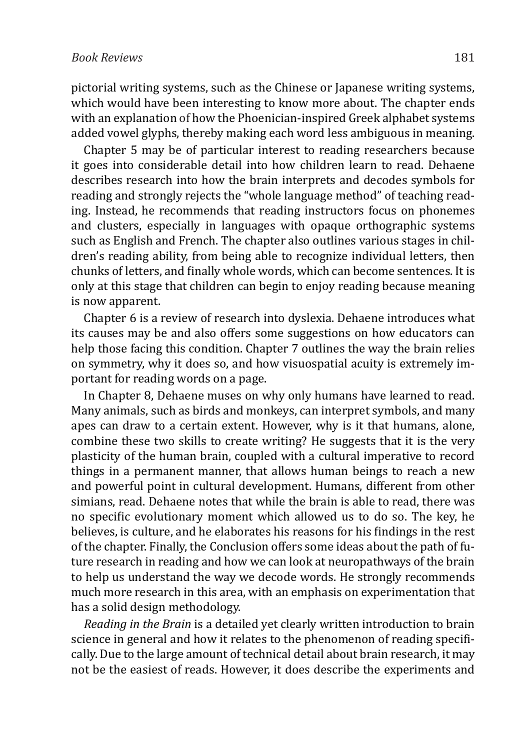pictorial writing systems, such as the Chinese or Japanese writing systems, which would have been interesting to know more about. The chapter ends with an explanation of how the Phoenician-inspired Greek alphabet systems added vowel glyphs, thereby making each word less ambiguous in meaning.

Chapter 5 may be of particular interest to reading researchers because it goes into considerable detail into how children learn to read. Dehaene describes research into how the brain interprets and decodes symbols for reading and strongly rejects the "whole language method" of teaching reading. Instead, he recommends that reading instructors focus on phonemes and clusters, especially in languages with opaque orthographic systems such as English and French. The chapter also outlines various stages in children's reading ability, from being able to recognize individual letters, then chunks of letters, and finally whole words, which can become sentences. It is only at this stage that children can begin to enjoy reading because meaning is now apparent.

Chapter 6 is a review of research into dyslexia. Dehaene introduces what its causes may be and also offers some suggestions on how educators can help those facing this condition. Chapter 7 outlines the way the brain relies on symmetry, why it does so, and how visuospatial acuity is extremely important for reading words on a page.

In Chapter 8, Dehaene muses on why only humans have learned to read. Many animals, such as birds and monkeys, can interpret symbols, and many apes can draw to a certain extent. However, why is it that humans, alone, combine these two skills to create writing? He suggests that it is the very plasticity of the human brain, coupled with a cultural imperative to record things in a permanent manner, that allows human beings to reach a new and powerful point in cultural development. Humans, different from other simians, read. Dehaene notes that while the brain is able to read, there was no specific evolutionary moment which allowed us to do so. The key, he believes, is culture, and he elaborates his reasons for his findings in the rest of the chapter. Finally, the Conclusion offers some ideas about the path of future research in reading and how we can look at neuropathways of the brain to help us understand the way we decode words. He strongly recommends much more research in this area, with an emphasis on experimentation that has a solid design methodology.

*Reading in the Brain* is a detailed yet clearly written introduction to brain science in general and how it relates to the phenomenon of reading specifically. Due to the large amount of technical detail about brain research, it may not be the easiest of reads. However, it does describe the experiments and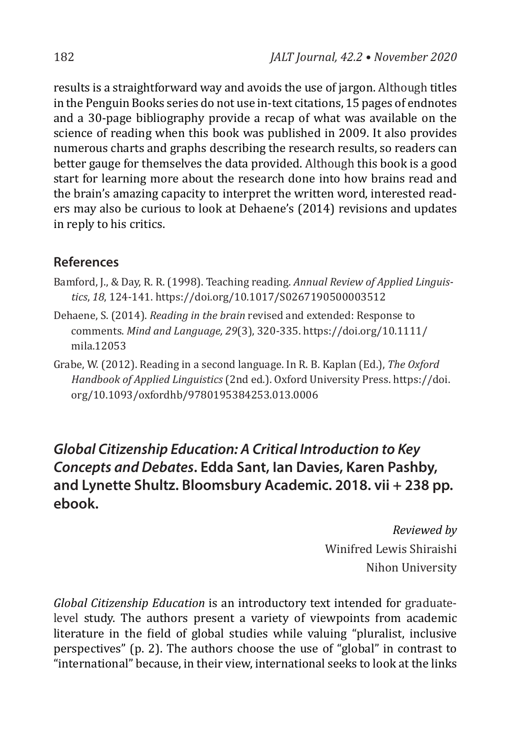results is a straightforward way and avoids the use of jargon. Although titles in the Penguin Books series do not use in-text citations, 15 pages of endnotes and a 30-page bibliography provide a recap of what was available on the science of reading when this book was published in 2009. It also provides numerous charts and graphs describing the research results, so readers can better gauge for themselves the data provided. Although this book is a good start for learning more about the research done into how brains read and the brain's amazing capacity to interpret the written word, interested readers may also be curious to look at Dehaene's (2014) revisions and updates in reply to his critics.

#### **References**

- Bamford, J., & Day, R. R. (1998). Teaching reading. *Annual Review of Applied Linguistics*, *18*, 124-141. https://doi.org/10.1017/S0267190500003512
- Dehaene, S. (2014). *Reading in the brain* revised and extended: Response to comments. *Mind and Language, 29*(3), 320-335. https://doi.org/10.1111/ mila.12053
- Grabe, W. (2012). Reading in a second language. In R. B. Kaplan (Ed.), *The Oxford Handbook of Applied Linguistics* (2nd ed.). Oxford University Press. https://doi. org/10.1093/oxfordhb/9780195384253.013.0006

# *Global Citizenship Education: A Critical Introduction to Key Concepts and Debates***. Edda Sant, Ian Davies, Karen Pashby, and Lynette Shultz. Bloomsbury Academic. 2018. vii + 238 pp. ebook.**

*Reviewed by* Winifred Lewis Shiraishi Nihon University

*Global Citizenship Education* is an introductory text intended for graduatelevel study. The authors present a variety of viewpoints from academic literature in the field of global studies while valuing "pluralist, inclusive perspectives" (p. 2). The authors choose the use of "global" in contrast to "international" because, in their view, international seeks to look at the links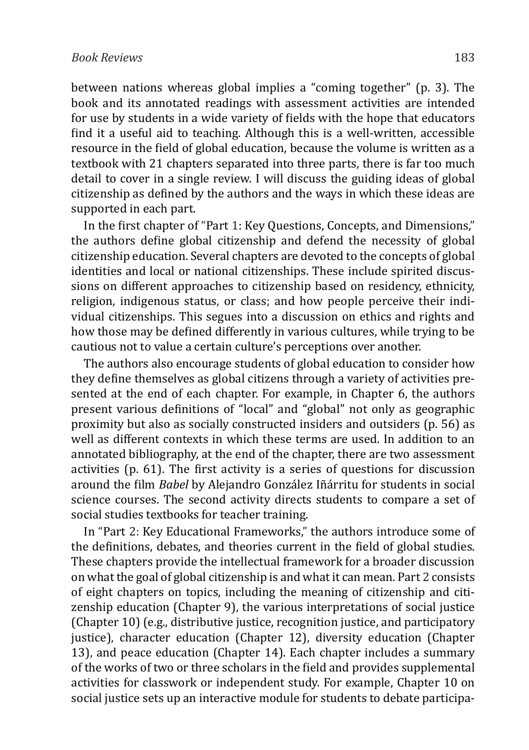#### *Book Reviews* 183

between nations whereas global implies a "coming together" (p. 3). The book and its annotated readings with assessment activities are intended for use by students in a wide variety of fields with the hope that educators find it a useful aid to teaching. Although this is a well-written, accessible resource in the field of global education, because the volume is written as a textbook with 21 chapters separated into three parts, there is far too much detail to cover in a single review. I will discuss the guiding ideas of global citizenship as defined by the authors and the ways in which these ideas are supported in each part.

In the first chapter of "Part 1: Key Questions, Concepts, and Dimensions," the authors define global citizenship and defend the necessity of global citizenship education. Several chapters are devoted to the concepts of global identities and local or national citizenships. These include spirited discussions on different approaches to citizenship based on residency, ethnicity, religion, indigenous status, or class; and how people perceive their individual citizenships. This segues into a discussion on ethics and rights and how those may be defined differently in various cultures, while trying to be cautious not to value a certain culture's perceptions over another.

The authors also encourage students of global education to consider how they define themselves as global citizens through a variety of activities presented at the end of each chapter. For example, in Chapter 6, the authors present various definitions of "local" and "global" not only as geographic proximity but also as socially constructed insiders and outsiders (p. 56) as well as different contexts in which these terms are used. In addition to an annotated bibliography, at the end of the chapter, there are two assessment activities (p. 61). The first activity is a series of questions for discussion around the film *Babel* by Alejandro González Iñárritu for students in social science courses. The second activity directs students to compare a set of social studies textbooks for teacher training.

In "Part 2: Key Educational Frameworks," the authors introduce some of the definitions, debates, and theories current in the field of global studies. These chapters provide the intellectual framework for a broader discussion on what the goal of global citizenship is and what it can mean. Part 2 consists of eight chapters on topics, including the meaning of citizenship and citizenship education (Chapter 9), the various interpretations of social justice (Chapter 10) (e.g., distributive justice, recognition justice, and participatory justice), character education (Chapter 12), diversity education (Chapter 13), and peace education (Chapter 14). Each chapter includes a summary of the works of two or three scholars in the field and provides supplemental activities for classwork or independent study. For example, Chapter 10 on social justice sets up an interactive module for students to debate participa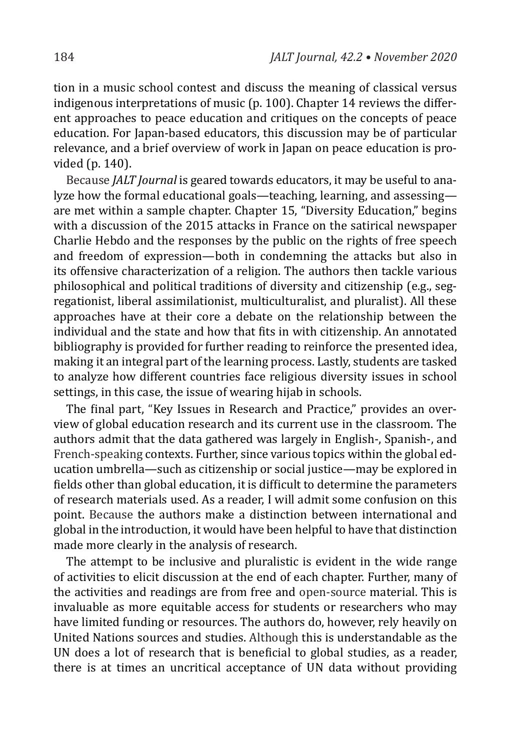tion in a music school contest and discuss the meaning of classical versus indigenous interpretations of music (p. 100). Chapter  $14$  reviews the different approaches to peace education and critiques on the concepts of peace education. For Japan-based educators, this discussion may be of particular relevance, and a brief overview of work in Japan on peace education is provided (p. 140).

Because *JALT Journal* is geared towards educators, it may be useful to analyze how the formal educational goals—teaching, learning, and assessing are met within a sample chapter. Chapter 15, "Diversity Education," begins with a discussion of the 2015 attacks in France on the satirical newspaper Charlie Hebdo and the responses by the public on the rights of free speech and freedom of expression—both in condemning the attacks but also in its offensive characterization of a religion. The authors then tackle various philosophical and political traditions of diversity and citizenship (e.g., segregationist, liberal assimilationist, multiculturalist, and pluralist). All these approaches have at their core a debate on the relationship between the individual and the state and how that fits in with citizenship. An annotated bibliography is provided for further reading to reinforce the presented idea, making it an integral part of the learning process. Lastly, students are tasked to analyze how different countries face religious diversity issues in school settings, in this case, the issue of wearing hijab in schools.

The final part, "Key Issues in Research and Practice," provides an overview of global education research and its current use in the classroom. The authors admit that the data gathered was largely in English-, Spanish-, and French-speaking contexts. Further, since various topics within the global education umbrella—such as citizenship or social justice—may be explored in fields other than global education, it is difficult to determine the parameters of research materials used. As a reader, I will admit some confusion on this point. Because the authors make a distinction between international and global in the introduction, it would have been helpful to have that distinction made more clearly in the analysis of research.

The attempt to be inclusive and pluralistic is evident in the wide range of activities to elicit discussion at the end of each chapter. Further, many of the activities and readings are from free and open-source material. This is invaluable as more equitable access for students or researchers who may have limited funding or resources. The authors do, however, rely heavily on United Nations sources and studies. Although this is understandable as the UN does a lot of research that is beneficial to global studies, as a reader, there is at times an uncritical acceptance of UN data without providing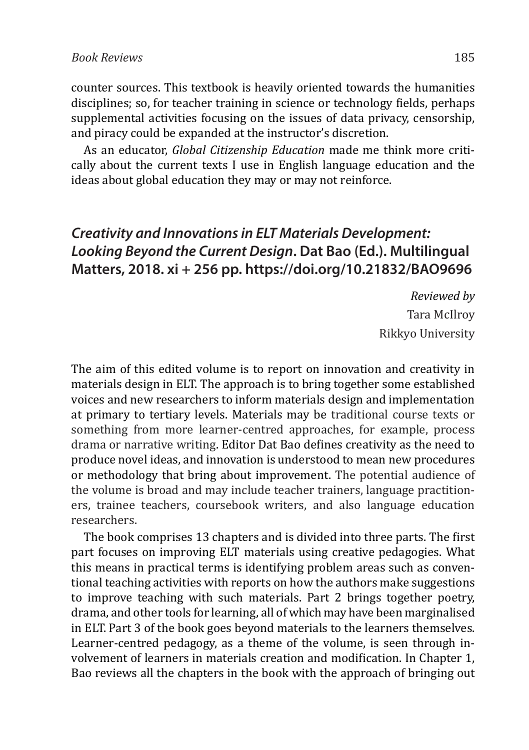counter sources. This textbook is heavily oriented towards the humanities disciplines; so, for teacher training in science or technology fields, perhaps supplemental activities focusing on the issues of data privacy, censorship, and piracy could be expanded at the instructor's discretion.

As an educator, *Global Citizenship Education* made me think more critically about the current texts I use in English language education and the ideas about global education they may or may not reinforce.

## *Creativity and Innovations in ELT Materials Development: Looking Beyond the Current Design***. Dat Bao (Ed.). Multilingual Matters, 2018. xi + 256 pp. https://doi.org/10.21832/BAO9696**

*Reviewed by* Tara McIlroy Rikkyo University

The aim of this edited volume is to report on innovation and creativity in materials design in ELT. The approach is to bring together some established voices and new researchers to inform materials design and implementation at primary to tertiary levels. Materials may be traditional course texts or something from more learner-centred approaches, for example, process drama or narrative writing. Editor Dat Bao defines creativity as the need to produce novel ideas, and innovation is understood to mean new procedures or methodology that bring about improvement. The potential audience of the volume is broad and may include teacher trainers, language practitioners, trainee teachers, coursebook writers, and also language education researchers.

The book comprises 13 chapters and is divided into three parts. The first part focuses on improving ELT materials using creative pedagogies. What this means in practical terms is identifying problem areas such as conventional teaching activities with reports on how the authors make suggestions to improve teaching with such materials. Part 2 brings together poetry, drama, and other tools for learning, all of which may have been marginalised in ELT. Part 3 of the book goes beyond materials to the learners themselves. Learner-centred pedagogy, as a theme of the volume, is seen through involvement of learners in materials creation and modification. In Chapter 1, Bao reviews all the chapters in the book with the approach of bringing out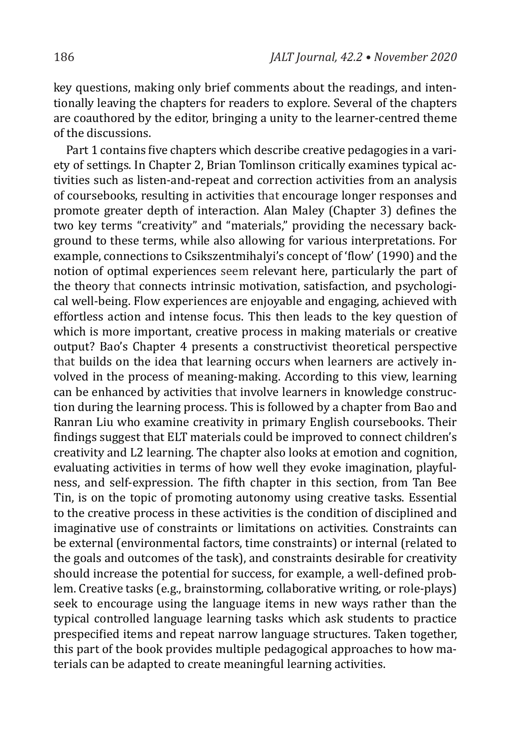key questions, making only brief comments about the readings, and intentionally leaving the chapters for readers to explore. Several of the chapters are coauthored by the editor, bringing a unity to the learner-centred theme of the discussions.

Part 1 contains five chapters which describe creative pedagogies in a variety of settings. In Chapter 2, Brian Tomlinson critically examines typical activities such as listen-and-repeat and correction activities from an analysis of coursebooks, resulting in activities that encourage longer responses and promote greater depth of interaction. Alan Maley (Chapter 3) defines the two key terms "creativity" and "materials," providing the necessary background to these terms, while also allowing for various interpretations. For example, connections to Csikszentmihalyi's concept of 'flow' (1990) and the notion of optimal experiences seem relevant here, particularly the part of the theory that connects intrinsic motivation, satisfaction, and psychological well-being. Flow experiences are enjoyable and engaging, achieved with effortless action and intense focus. This then leads to the key question of which is more important, creative process in making materials or creative output? Bao's Chapter 4 presents a constructivist theoretical perspective that builds on the idea that learning occurs when learners are actively involved in the process of meaning-making. According to this view, learning can be enhanced by activities that involve learners in knowledge construction during the learning process. This is followed by a chapter from Bao and Ranran Liu who examine creativity in primary English coursebooks. Their findings suggest that ELT materials could be improved to connect children's creativity and L2 learning. The chapter also looks at emotion and cognition, evaluating activities in terms of how well they evoke imagination, playfulness, and self-expression. The fifth chapter in this section, from Tan Bee Tin, is on the topic of promoting autonomy using creative tasks. Essential to the creative process in these activities is the condition of disciplined and imaginative use of constraints or limitations on activities. Constraints can be external (environmental factors, time constraints) or internal (related to the goals and outcomes of the task), and constraints desirable for creativity should increase the potential for success, for example, a well-defined problem. Creative tasks (e.g., brainstorming, collaborative writing, or role-plays) seek to encourage using the language items in new ways rather than the typical controlled language learning tasks which ask students to practice prespecified items and repeat narrow language structures. Taken together, this part of the book provides multiple pedagogical approaches to how materials can be adapted to create meaningful learning activities.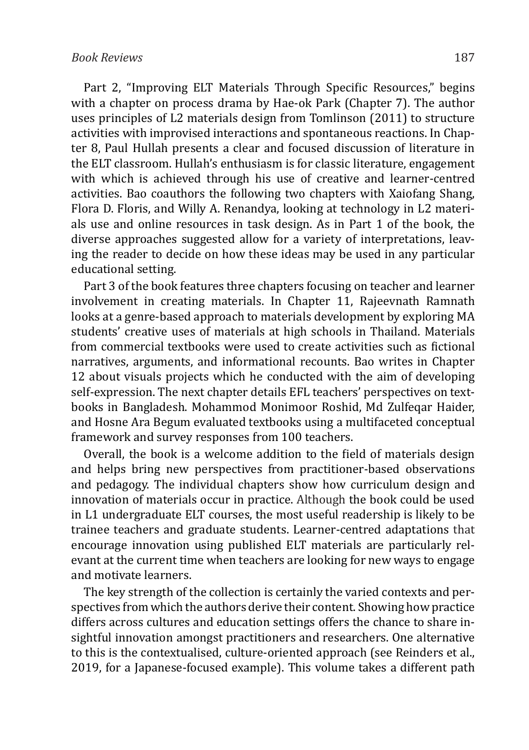Part 2, "Improving ELT Materials Through Specific Resources," begins with a chapter on process drama by Hae-ok Park (Chapter 7). The author uses principles of L2 materials design from Tomlinson (2011) to structure activities with improvised interactions and spontaneous reactions. In Chapter 8, Paul Hullah presents a clear and focused discussion of literature in the ELT classroom. Hullah's enthusiasm is for classic literature, engagement with which is achieved through his use of creative and learner-centred activities. Bao coauthors the following two chapters with Xaiofang Shang, Flora D. Floris, and Willy A. Renandya, looking at technology in L2 materials use and online resources in task design. As in Part 1 of the book, the diverse approaches suggested allow for a variety of interpretations, leaving the reader to decide on how these ideas may be used in any particular educational setting.

Part 3 of the book features three chapters focusing on teacher and learner involvement in creating materials. In Chapter 11, Rajeevnath Ramnath looks at a genre-based approach to materials development by exploring MA students' creative uses of materials at high schools in Thailand. Materials from commercial textbooks were used to create activities such as fictional narratives, arguments, and informational recounts. Bao writes in Chapter 12 about visuals projects which he conducted with the aim of developing self-expression. The next chapter details EFL teachers' perspectives on textbooks in Bangladesh. Mohammod Monimoor Roshid, Md Zulfeqar Haider, and Hosne Ara Begum evaluated textbooks using a multifaceted conceptual framework and survey responses from 100 teachers.

Overall, the book is a welcome addition to the field of materials design and helps bring new perspectives from practitioner-based observations and pedagogy. The individual chapters show how curriculum design and innovation of materials occur in practice. Although the book could be used in L1 undergraduate ELT courses, the most useful readership is likely to be trainee teachers and graduate students. Learner-centred adaptations that encourage innovation using published ELT materials are particularly relevant at the current time when teachers are looking for new ways to engage and motivate learners.

The key strength of the collection is certainly the varied contexts and perspectives from which the authors derive their content. Showing how practice differs across cultures and education settings offers the chance to share insightful innovation amongst practitioners and researchers. One alternative to this is the contextualised, culture-oriented approach (see Reinders et al., 2019, for a Japanese-focused example). This volume takes a different path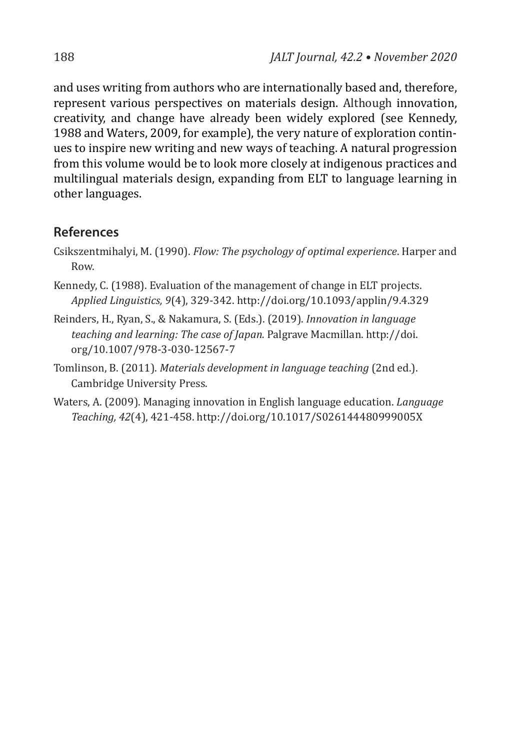and uses writing from authors who are internationally based and, therefore, represent various perspectives on materials design. Although innovation, creativity, and change have already been widely explored (see Kennedy, 1988 and Waters, 2009, for example), the very nature of exploration continues to inspire new writing and new ways of teaching. A natural progression from this volume would be to look more closely at indigenous practices and multilingual materials design, expanding from ELT to language learning in other languages.

#### **References**

- Csikszentmihalyi, M. (1990). *Flow: The psychology of optimal experience*. Harper and Row.
- Kennedy, C. (1988). Evaluation of the management of change in ELT projects. *Applied Linguistics, 9*(4), 329-342. http://doi.org/10.1093/applin/9.4.329
- Reinders, H., Ryan, S., & Nakamura, S. (Eds.). (2019). *Innovation in language teaching and learning: The case of Japan.* Palgrave Macmillan. http://doi. org/10.1007/978-3-030-12567-7
- Tomlinson, B. (2011). *Materials development in language teaching* (2nd ed.). Cambridge University Press.
- Waters, A. (2009). Managing innovation in English language education. *Language Teaching, 42*(4), 421-458. http://doi.org/10.1017/S026144480999005X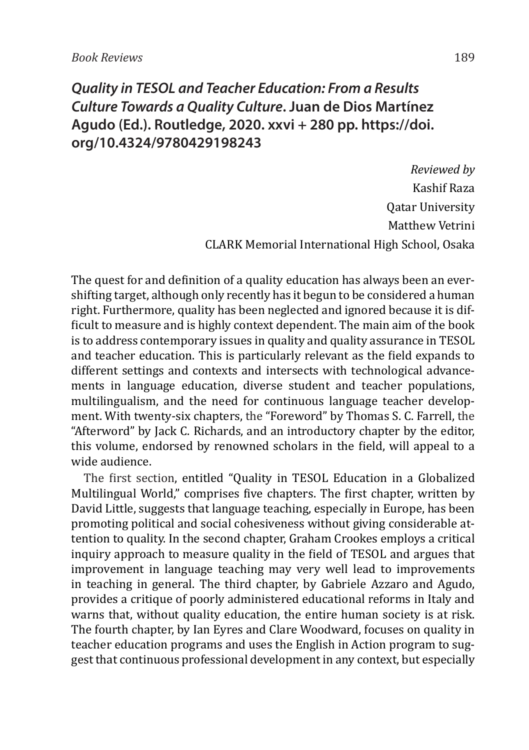## *Quality in TESOL and Teacher Education: From a Results Culture Towards a Quality Culture***. Juan de Dios Martínez Agudo (Ed.). Routledge, 2020. xxvi + 280 pp. https://doi. org/10.4324/9780429198243**

*Reviewed by* Kashif Raza Qatar University Matthew Vetrini CLARK Memorial International High School, Osaka

The quest for and definition of a quality education has always been an evershifting target, although only recently has it begun to be considered a human right. Furthermore, quality has been neglected and ignored because it is difficult to measure and is highly context dependent. The main aim of the book is to address contemporary issues in quality and quality assurance in TESOL and teacher education. This is particularly relevant as the field expands to different settings and contexts and intersects with technological advancements in language education, diverse student and teacher populations, multilingualism, and the need for continuous language teacher development. With twenty-six chapters, the "Foreword" by Thomas S. C. Farrell, the "Afterword" by Jack C. Richards, and an introductory chapter by the editor, this volume, endorsed by renowned scholars in the field, will appeal to a wide audience.

The first section, entitled "Quality in TESOL Education in a Globalized Multilingual World," comprises five chapters. The first chapter, written by David Little, suggests that language teaching, especially in Europe, has been promoting political and social cohesiveness without giving considerable attention to quality. In the second chapter, Graham Crookes employs a critical inquiry approach to measure quality in the field of TESOL and argues that improvement in language teaching may very well lead to improvements in teaching in general. The third chapter, by Gabriele Azzaro and Agudo, provides a critique of poorly administered educational reforms in Italy and warns that, without quality education, the entire human society is at risk. The fourth chapter, by Ian Eyres and Clare Woodward, focuses on quality in teacher education programs and uses the English in Action program to suggest that continuous professional development in any context, but especially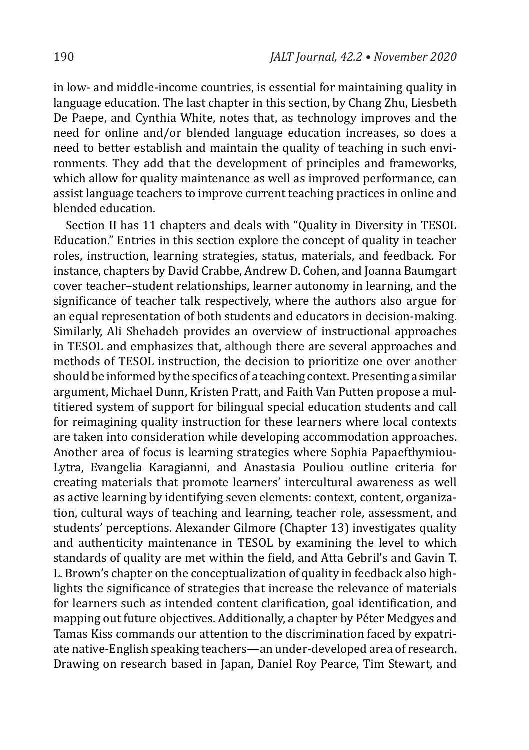in low- and middle-income countries, is essential for maintaining quality in language education. The last chapter in this section, by Chang Zhu, Liesbeth De Paepe, and Cynthia White, notes that, as technology improves and the need for online and/or blended language education increases, so does a need to better establish and maintain the quality of teaching in such environments. They add that the development of principles and frameworks, which allow for quality maintenance as well as improved performance, can assist language teachers to improve current teaching practices in online and blended education.

Section II has 11 chapters and deals with "Quality in Diversity in TESOL Education." Entries in this section explore the concept of quality in teacher roles, instruction, learning strategies, status, materials, and feedback. For instance, chapters by David Crabbe, Andrew D. Cohen, and Joanna Baumgart cover teacher–student relationships, learner autonomy in learning, and the significance of teacher talk respectively, where the authors also argue for an equal representation of both students and educators in decision-making. Similarly, Ali Shehadeh provides an overview of instructional approaches in TESOL and emphasizes that, although there are several approaches and methods of TESOL instruction, the decision to prioritize one over another should be informed by the specifics of a teaching context.Presenting a similar argument, Michael Dunn, Kristen Pratt, and Faith Van Putten propose a multitiered system of support for bilingual special education students and call for reimagining quality instruction for these learners where local contexts are taken into consideration while developing accommodation approaches. Another area of focus is learning strategies where Sophia Papaefthymiou-Lytra, Evangelia Karagianni, and Anastasia Pouliou outline criteria for creating materials that promote learners' intercultural awareness as well as active learning by identifying seven elements: context, content, organization, cultural ways of teaching and learning, teacher role, assessment, and students' perceptions. Alexander Gilmore (Chapter 13) investigates quality and authenticity maintenance in TESOL by examining the level to which standards of quality are met within the field, and Atta Gebril's and Gavin T. L. Brown's chapter on the conceptualization of quality in feedback also highlights the significance of strategies that increase the relevance of materials for learners such as intended content clarification, goal identification, and mapping out future objectives. Additionally, a chapter by Péter Medgyes and Tamas Kiss commands our attention to the discrimination faced by expatriate native-English speaking teachers—an under-developed area of research. Drawing on research based in Japan, Daniel Roy Pearce, Tim Stewart, and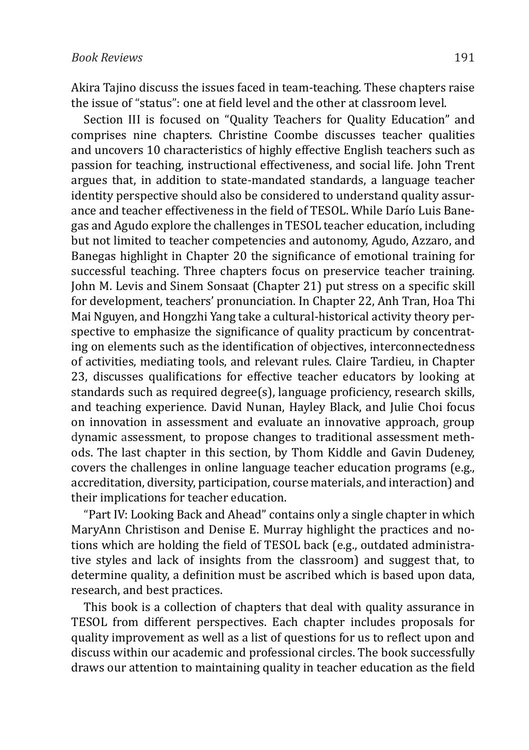Akira Tajino discuss the issues faced in team-teaching. These chapters raise the issue of "status": one at field level and the other at classroom level.

Section III is focused on "Quality Teachers for Quality Education" and comprises nine chapters. Christine Coombe discusses teacher qualities and uncovers 10 characteristics of highly effective English teachers such as passion for teaching, instructional effectiveness, and social life. John Trent argues that, in addition to state-mandated standards, a language teacher identity perspective should also be considered to understand quality assurance and teacher effectiveness in the field of TESOL. While Darío Luis Banegas and Agudo explore the challenges in TESOL teacher education, including but not limited to teacher competencies and autonomy, Agudo, Azzaro, and Banegas highlight in Chapter 20 the significance of emotional training for successful teaching. Three chapters focus on preservice teacher training. John M. Levis and Sinem Sonsaat (Chapter 21) put stress on a specific skill for development, teachers' pronunciation. In Chapter 22, Anh Tran, Hoa Thi Mai Nguyen, and Hongzhi Yang take a cultural-historical activity theory perspective to emphasize the significance of quality practicum by concentrating on elements such as the identification of objectives, interconnectedness of activities, mediating tools, and relevant rules. Claire Tardieu, in Chapter 23, discusses qualifications for effective teacher educators by looking at standards such as required degree(s), language proficiency, research skills, and teaching experience. David Nunan, Hayley Black, and Julie Choi focus on innovation in assessment and evaluate an innovative approach, group dynamic assessment, to propose changes to traditional assessment methods. The last chapter in this section, by Thom Kiddle and Gavin Dudeney, covers the challenges in online language teacher education programs (e.g., accreditation, diversity, participation, course materials, and interaction) and their implications for teacher education.

"Part IV: Looking Back and Ahead" contains only a single chapter in which MaryAnn Christison and Denise E. Murray highlight the practices and notions which are holding the field of TESOL back (e.g., outdated administrative styles and lack of insights from the classroom) and suggest that, to determine quality, a definition must be ascribed which is based upon data, research, and best practices.

This book is a collection of chapters that deal with quality assurance in TESOL from different perspectives. Each chapter includes proposals for quality improvement as well as a list of questions for us to reflect upon and discuss within our academic and professional circles. The book successfully draws our attention to maintaining quality in teacher education as the field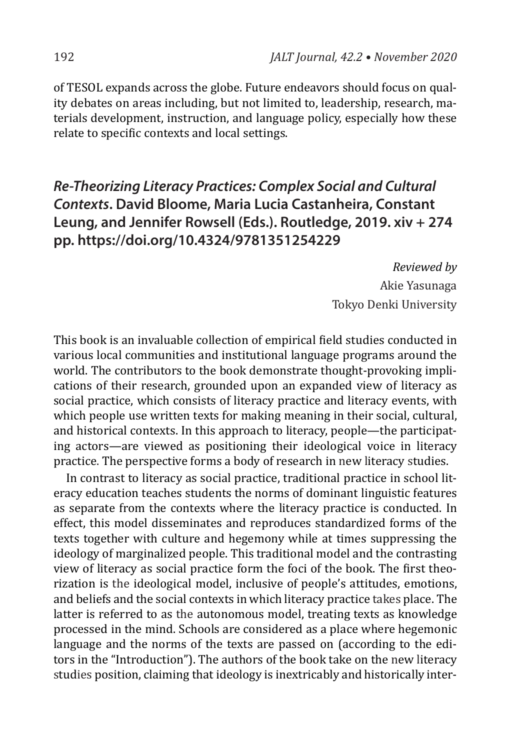of TESOL expands across the globe. Future endeavors should focus on quality debates on areas including, but not limited to, leadership, research, materials development, instruction, and language policy, especially how these relate to specific contexts and local settings.

# *Re-Theorizing Literacy Practices: Complex Social and Cultural Contexts***. David Bloome, Maria Lucia Castanheira, Constant Leung, and Jennifer Rowsell (Eds.). Routledge, 2019. xiv + 274 pp. https://doi.org/10.4324/9781351254229**

*Reviewed by* Akie Yasunaga Tokyo Denki University

This book is an invaluable collection of empirical field studies conducted in various local communities and institutional language programs around the world. The contributors to the book demonstrate thought-provoking implications of their research, grounded upon an expanded view of literacy as social practice, which consists of literacy practice and literacy events, with which people use written texts for making meaning in their social, cultural, and historical contexts. In this approach to literacy, people—the participating actors—are viewed as positioning their ideological voice in literacy practice. The perspective forms a body of research in new literacy studies.

In contrast to literacy as social practice, traditional practice in school literacy education teaches students the norms of dominant linguistic features as separate from the contexts where the literacy practice is conducted. In effect, this model disseminates and reproduces standardized forms of the texts together with culture and hegemony while at times suppressing the ideology of marginalized people. This traditional model and the contrasting view of literacy as social practice form the foci of the book. The first theorization is the ideological model, inclusive of people's attitudes, emotions, and beliefs and the social contexts in which literacy practice takes place. The latter is referred to as the autonomous model, treating texts as knowledge processed in the mind. Schools are considered as a place where hegemonic language and the norms of the texts are passed on (according to the editors in the "Introduction"). The authors of the book take on the new literacy studies position, claiming that ideology is inextricably and historically inter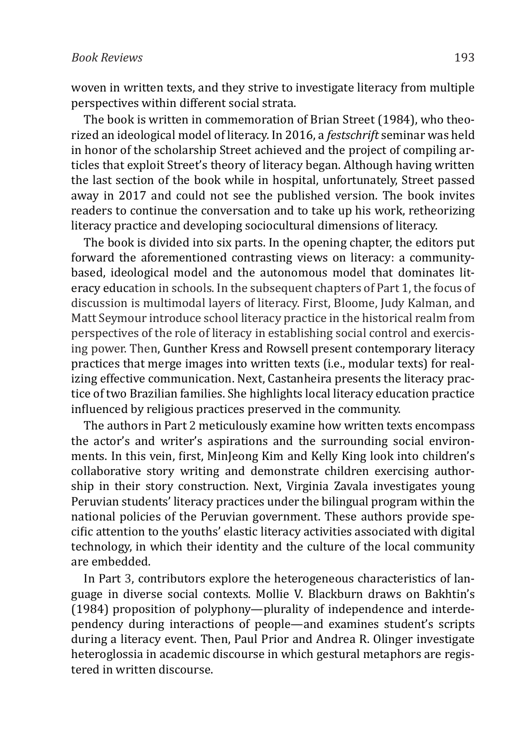woven in written texts, and they strive to investigate literacy from multiple perspectives within different social strata.

The book is written in commemoration of Brian Street (1984), who theorized an ideological model of literacy. In 2016, a *festschrift* seminar was held in honor of the scholarship Street achieved and the project of compiling articles that exploit Street's theory of literacy began. Although having written the last section of the book while in hospital, unfortunately, Street passed away in 2017 and could not see the published version. The book invites readers to continue the conversation and to take up his work, retheorizing literacy practice and developing sociocultural dimensions of literacy.

The book is divided into six parts. In the opening chapter, the editors put forward the aforementioned contrasting views on literacy: a communitybased, ideological model and the autonomous model that dominates literacy education in schools. In the subsequent chapters of Part 1, the focus of discussion is multimodal layers of literacy. First, Bloome, Judy Kalman, and Matt Seymour introduce school literacy practice in the historical realm from perspectives of the role of literacy in establishing social control and exercising power. Then, Gunther Kress and Rowsell present contemporary literacy practices that merge images into written texts (i.e., modular texts) for realizing effective communication. Next, Castanheira presents the literacy practice of two Brazilian families. She highlights local literacy education practice influenced by religious practices preserved in the community.

The authors in Part 2 meticulously examine how written texts encompass the actor's and writer's aspirations and the surrounding social environments. In this vein, first, MinJeong Kim and Kelly King look into children's collaborative story writing and demonstrate children exercising authorship in their story construction. Next, Virginia Zavala investigates young Peruvian students' literacy practices under the bilingual program within the national policies of the Peruvian government. These authors provide specific attention to the youths' elastic literacy activities associated with digital technology, in which their identity and the culture of the local community are embedded.

In Part 3, contributors explore the heterogeneous characteristics of language in diverse social contexts. Mollie V. Blackburn draws on Bakhtin's (1984) proposition of polyphony—plurality of independence and interdependency during interactions of people—and examines student's scripts during a literacy event. Then, Paul Prior and Andrea R. Olinger investigate heteroglossia in academic discourse in which gestural metaphors are registered in written discourse.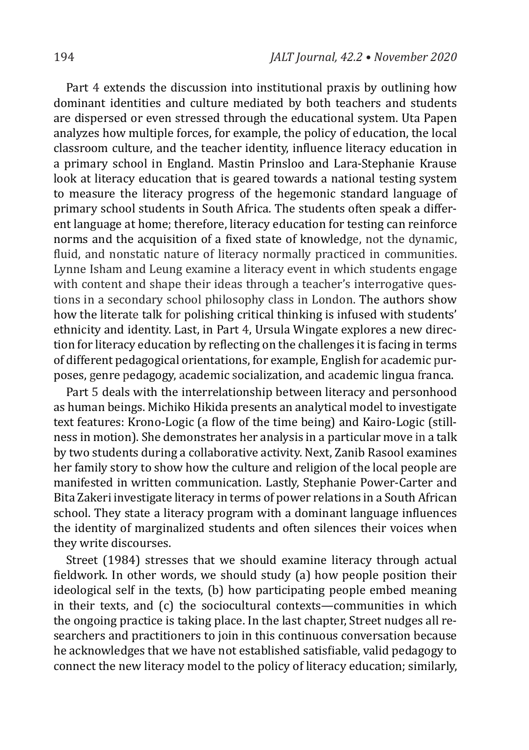Part 4 extends the discussion into institutional praxis by outlining how dominant identities and culture mediated by both teachers and students are dispersed or even stressed through the educational system. Uta Papen analyzes how multiple forces, for example, the policy of education, the local classroom culture, and the teacher identity, influence literacy education in a primary school in England. Mastin Prinsloo and Lara-Stephanie Krause look at literacy education that is geared towards a national testing system to measure the literacy progress of the hegemonic standard language of primary school students in South Africa. The students often speak a different language at home; therefore, literacy education for testing can reinforce norms and the acquisition of a fixed state of knowledge, not the dynamic, fluid, and nonstatic nature of literacy normally practiced in communities. Lynne Isham and Leung examine a literacy event in which students engage with content and shape their ideas through a teacher's interrogative questions in a secondary school philosophy class in London. The authors show how the literate talk for polishing critical thinking is infused with students' ethnicity and identity. Last, in Part 4, Ursula Wingate explores a new direction for literacy education by reflecting on the challenges it is facing in terms of different pedagogical orientations, for example, English for academic purposes, genre pedagogy, academic socialization, and academic lingua franca.

Part 5 deals with the interrelationship between literacy and personhood as human beings. Michiko Hikida presents an analytical model to investigate text features: Krono-Logic (a flow of the time being) and Kairo-Logic (stillness in motion). She demonstrates her analysis in a particular move in a talk by two students during a collaborative activity. Next, Zanib Rasool examines her family story to show how the culture and religion of the local people are manifested in written communication. Lastly, Stephanie Power-Carter and Bita Zakeri investigate literacy in terms of power relations in a South African school. They state a literacy program with a dominant language influences the identity of marginalized students and often silences their voices when they write discourses.

Street (1984) stresses that we should examine literacy through actual fieldwork. In other words, we should study (a) how people position their ideological self in the texts, (b) how participating people embed meaning in their texts, and (c) the sociocultural contexts—communities in which the ongoing practice is taking place. In the last chapter, Street nudges all researchers and practitioners to join in this continuous conversation because he acknowledges that we have not established satisfiable, valid pedagogy to connect the new literacy model to the policy of literacy education; similarly,